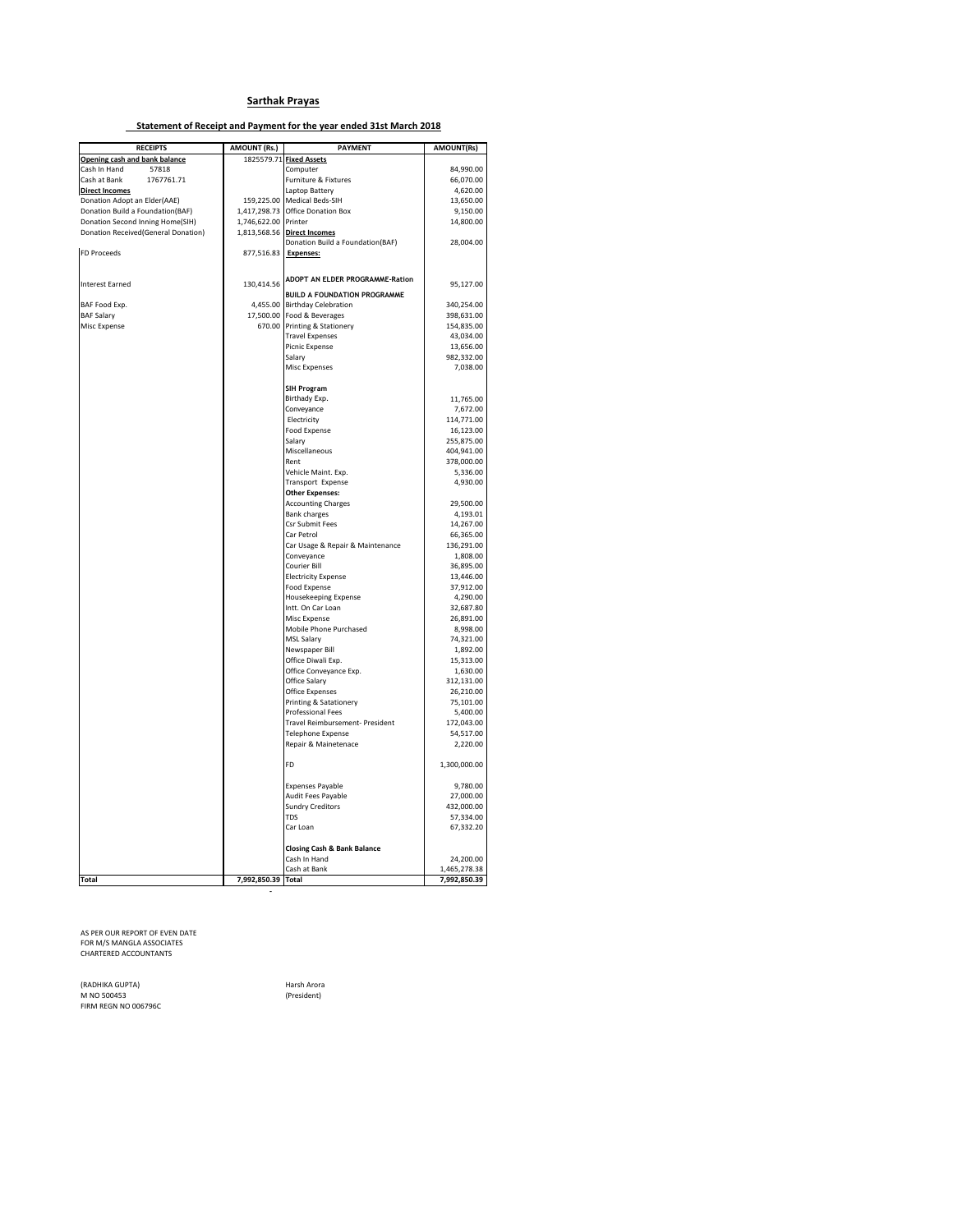#### **Sarthak Prayas**

#### **Statement of Receipt and Payment for the year ended 31st March 2018**

| <b>RECEIPTS</b>                     | <b>AMOUNT (Rs.)</b>  | <b>PAYMENT</b>                              | <b>AMOUNT(Rs)</b>         |
|-------------------------------------|----------------------|---------------------------------------------|---------------------------|
| Opening cash and bank balance       |                      | 1825579.71 Fixed Assets                     |                           |
| Cash In Hand<br>57818               |                      | Computer                                    | 84,990.00                 |
| Cash at Bank<br>1767761.71          |                      | Furniture & Fixtures                        | 66,070.00                 |
| <b>Direct Incomes</b>               |                      | Laptop Battery                              | 4,620.00                  |
| Donation Adopt an Elder(AAE)        |                      | 159,225.00 Medical Beds-SIH                 | 13,650.00                 |
| Donation Build a Foundation(BAF)    |                      | 1,417,298.73 Office Donation Box            | 9,150.00                  |
| Donation Second Inning Home(SIH)    | 1,746,622.00 Printer |                                             | 14,800.00                 |
| Donation Received(General Donation) |                      | 1,813,568.56 Direct Incomes                 |                           |
| <b>FD Proceeds</b>                  |                      | Donation Build a Foundation(BAF)            | 28,004.00                 |
|                                     | 877,516.83 Expenses: |                                             |                           |
|                                     |                      |                                             |                           |
| <b>Interest Earned</b>              | 130,414.56           | ADOPT AN ELDER PROGRAMME-Ration             | 95,127.00                 |
|                                     |                      | <b>BUILD A FOUNDATION PROGRAMME</b>         |                           |
| BAF Food Exp.                       | 4,455.00             | <b>Birthday Celebration</b>                 | 340,254.00                |
| <b>BAF Salary</b>                   | 17,500.00            | Food & Beverages                            | 398,631.00                |
| <b>Misc Expense</b>                 |                      | 670.00 Printing & Stationery                | 154,835.00                |
|                                     |                      | <b>Travel Expenses</b>                      | 43,034.00                 |
|                                     |                      | Picnic Expense                              | 13,656.00                 |
|                                     |                      | Salary<br>Misc Expenses                     | 982,332.00<br>7,038.00    |
|                                     |                      |                                             |                           |
|                                     |                      | <b>SIH Program</b>                          |                           |
|                                     |                      | Birthady Exp.                               | 11,765.00                 |
|                                     |                      | Conveyance                                  | 7,672.00                  |
|                                     |                      | Electricity                                 | 114,771.00                |
|                                     |                      | <b>Food Expense</b>                         | 16,123.00                 |
|                                     |                      | Salary                                      | 255,875.00                |
|                                     |                      | Miscellaneous<br>Rent                       | 404,941.00                |
|                                     |                      | Vehicle Maint. Exp.                         | 378,000.00<br>5,336.00    |
|                                     |                      | Transport Expense                           | 4,930.00                  |
|                                     |                      | <b>Other Expenses:</b>                      |                           |
|                                     |                      | <b>Accounting Charges</b>                   | 29,500.00                 |
|                                     |                      | <b>Bank charges</b>                         | 4,193.01                  |
|                                     |                      | Csr Submit Fees                             | 14,267.00                 |
|                                     |                      | Car Petrol                                  | 66,365.00                 |
|                                     |                      | Car Usage & Repair & Maintenance            | 136,291.00                |
|                                     |                      | Conveyance                                  | 1,808.00                  |
|                                     |                      | Courier Bill                                | 36,895.00                 |
|                                     |                      | <b>Electricity Expense</b><br>Food Expense  | 13,446.00<br>37,912.00    |
|                                     |                      | Housekeeping Expense                        | 4,290.00                  |
|                                     |                      | Intt. On Car Loan                           | 32,687.80                 |
|                                     |                      | Misc Expense                                | 26,891.00                 |
|                                     |                      | Mobile Phone Purchased                      | 8,998.00                  |
|                                     |                      | MSL Salary                                  | 74,321.00                 |
|                                     |                      | Newspaper Bill                              | 1,892.00                  |
|                                     |                      | Office Diwali Exp.                          | 15,313.00                 |
|                                     |                      | Office Conveyance Exp.                      | 1,630.00                  |
|                                     |                      | Office Salary                               | 312,131.00                |
|                                     |                      | Office Expenses                             | 26,210.00                 |
|                                     |                      | Printing & Satationery<br>Professional Fees | 75,101.00<br>5,400.00     |
|                                     |                      | Travel Reimbursement- President             | 172,043.00                |
|                                     |                      | Telephone Expense                           | 54,517.00                 |
|                                     |                      | Repair & Mainetenace                        | 2,220.00                  |
|                                     |                      |                                             |                           |
|                                     |                      | FD.                                         | 1,300,000.00              |
|                                     |                      | <b>Expenses Payable</b>                     | 9,780.00                  |
|                                     |                      | Audit Fees Payable                          | 27,000.00                 |
|                                     |                      | <b>Sundry Creditors</b>                     | 432,000.00                |
|                                     |                      | <b>TDS</b>                                  | 57,334.00                 |
|                                     |                      | Car Loan                                    | 67,332.20                 |
|                                     |                      |                                             |                           |
|                                     |                      | Closing Cash & Bank Balance                 |                           |
|                                     |                      | Cash In Hand<br>Cash at Bank                | 24,200.00<br>1,465,278.38 |
| <b>Total</b>                        | 7,992,850.39 Total   |                                             | 7,992,850.39              |
|                                     |                      |                                             |                           |

AS PER OUR REPORT OF EVEN DATE FOR M/S MANGLA ASSOCIATES CHARTERED ACCOUNTANTS

(RADHIKA GUPTA) Harsh Arora M NO 500453 (President) FIRM REGN NO 006796C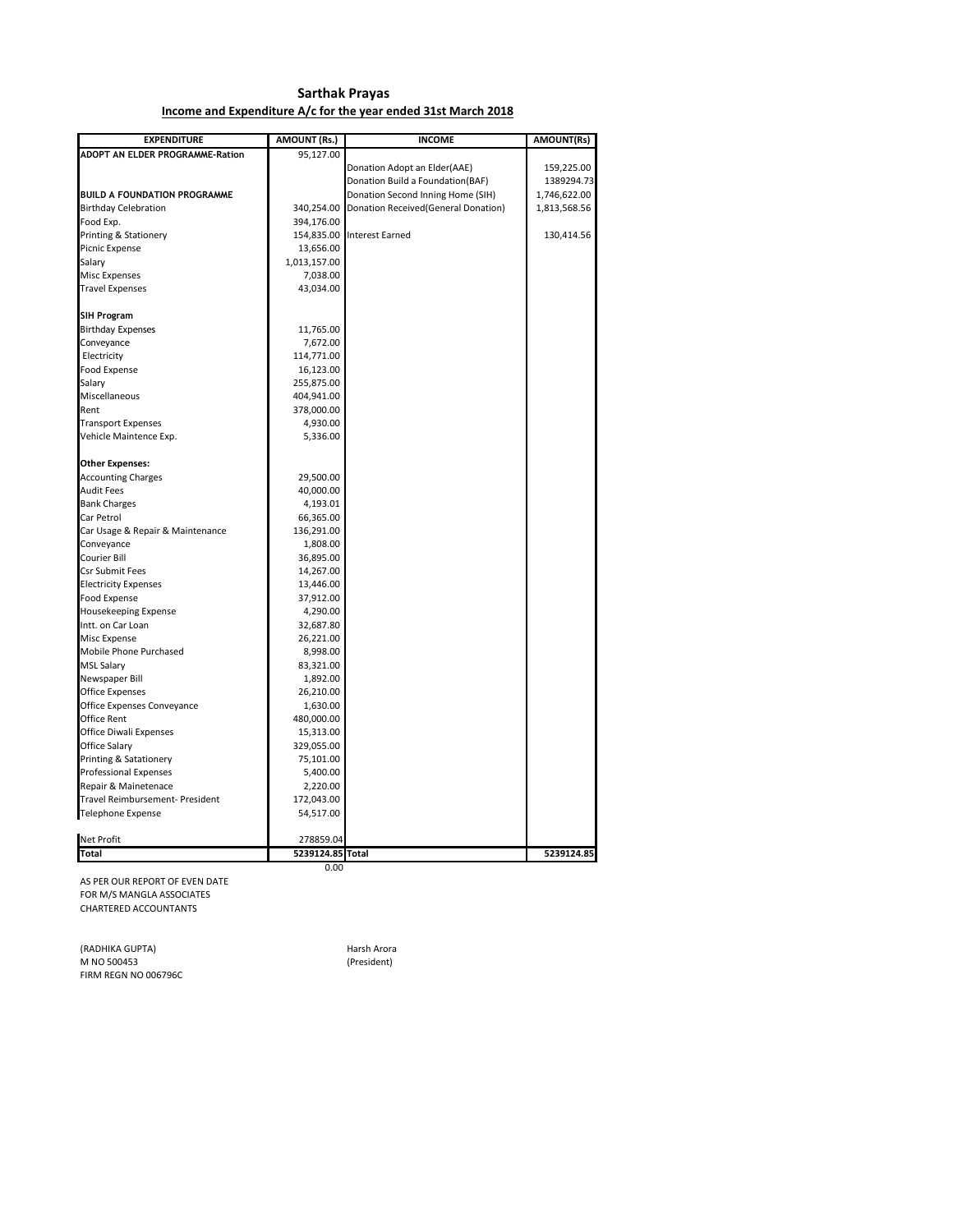#### **Sarthak Prayas Income and Expenditure A/c for the year ended 31st March 2018**

| <b>EXPENDITURE</b>                     | AMOUNT (Rs.)     | <b>INCOME</b>                        | AMOUNT(Rs)   |
|----------------------------------------|------------------|--------------------------------------|--------------|
| <b>ADOPT AN ELDER PROGRAMME-Ration</b> | 95,127.00        |                                      |              |
|                                        |                  | Donation Adopt an Elder(AAE)         | 159,225.00   |
|                                        |                  | Donation Build a Foundation(BAF)     | 1389294.73   |
| <b>BUILD A FOUNDATION PROGRAMME</b>    |                  | Donation Second Inning Home (SIH)    | 1,746,622.00 |
| <b>Birthday Celebration</b>            | 340,254.00       | Donation Received (General Donation) | 1,813,568.56 |
| Food Exp.                              | 394,176.00       |                                      |              |
| Printing & Stationery                  |                  | 154,835.00 Interest Earned           | 130,414.56   |
| Picnic Expense                         | 13,656.00        |                                      |              |
| Salary                                 | 1,013,157.00     |                                      |              |
| <b>Misc Expenses</b>                   | 7,038.00         |                                      |              |
| <b>Travel Expenses</b>                 | 43,034.00        |                                      |              |
|                                        |                  |                                      |              |
| <b>SIH Program</b>                     |                  |                                      |              |
| <b>Birthday Expenses</b>               | 11,765.00        |                                      |              |
| Conveyance                             | 7,672.00         |                                      |              |
| Electricity                            | 114,771.00       |                                      |              |
| <b>Food Expense</b>                    | 16,123.00        |                                      |              |
| Salary                                 | 255,875.00       |                                      |              |
| Miscellaneous                          | 404,941.00       |                                      |              |
| Rent                                   | 378,000.00       |                                      |              |
| <b>Transport Expenses</b>              | 4,930.00         |                                      |              |
| Vehicle Maintence Exp.                 | 5,336.00         |                                      |              |
| <b>Other Expenses:</b>                 |                  |                                      |              |
| <b>Accounting Charges</b>              | 29,500.00        |                                      |              |
| <b>Audit Fees</b>                      | 40,000.00        |                                      |              |
| <b>Bank Charges</b>                    | 4,193.01         |                                      |              |
| Car Petrol                             | 66,365.00        |                                      |              |
| Car Usage & Repair & Maintenance       | 136,291.00       |                                      |              |
| Conveyance                             | 1,808.00         |                                      |              |
| <b>Courier Bill</b>                    | 36,895.00        |                                      |              |
| <b>Csr Submit Fees</b>                 | 14,267.00        |                                      |              |
| <b>Electricity Expenses</b>            | 13,446.00        |                                      |              |
| Food Expense                           | 37,912.00        |                                      |              |
| Housekeeping Expense                   | 4,290.00         |                                      |              |
| Intt. on Car Loan                      | 32,687.80        |                                      |              |
| Misc Expense                           | 26,221.00        |                                      |              |
| Mobile Phone Purchased                 | 8,998.00         |                                      |              |
| <b>MSL Salary</b>                      | 83,321.00        |                                      |              |
| Newspaper Bill                         | 1,892.00         |                                      |              |
| <b>Office Expenses</b>                 | 26,210.00        |                                      |              |
| Office Expenses Conveyance             | 1,630.00         |                                      |              |
| Office Rent                            | 480,000.00       |                                      |              |
| Office Diwali Expenses                 | 15,313.00        |                                      |              |
| Office Salary                          | 329,055.00       |                                      |              |
| Printing & Satationery                 | 75,101.00        |                                      |              |
| <b>Professional Expenses</b>           | 5,400.00         |                                      |              |
| Repair & Mainetenace                   | 2,220.00         |                                      |              |
| Travel Reimbursement- President        | 172,043.00       |                                      |              |
| Telephone Expense                      | 54,517.00        |                                      |              |
| <b>Net Profit</b>                      | 278859.04        |                                      |              |
| <b>Total</b>                           | 5239124.85 Total |                                      | 5239124.85   |
|                                        | 0.00             |                                      |              |

AS PER OUR REPORT OF EVEN DATE FOR M/S MANGLA ASSOCIATES CHARTERED ACCOUNTANTS

(RADHIKA GUPTA) **Harsh Arora** M NO 500453 (President) FIRM REGN NO 006796C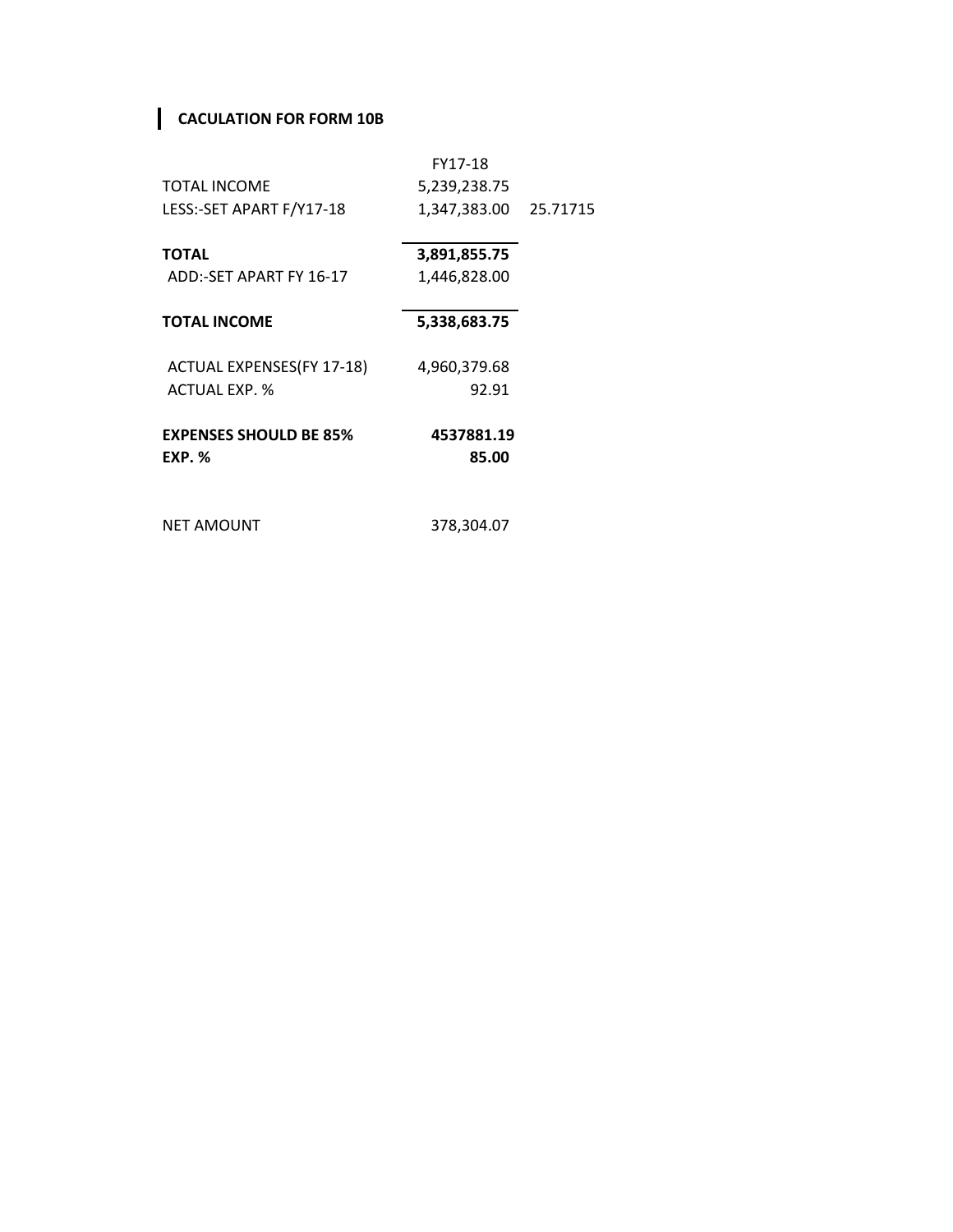## **CACULATION FOR FORM 10B**

|                               | FY17-18      |          |
|-------------------------------|--------------|----------|
| <b>TOTAL INCOME</b>           | 5,239,238.75 |          |
| LESS:-SET APART F/Y17-18      | 1,347,383.00 | 25.71715 |
|                               |              |          |
| <b>TOTAL</b>                  | 3,891,855.75 |          |
| ADD:-SET APART FY 16-17       | 1,446,828.00 |          |
|                               |              |          |
| <b>TOTAL INCOME</b>           | 5,338,683.75 |          |
| ACTUAL EXPENSES (FY 17-18)    | 4,960,379.68 |          |
| <b>ACTUAL EXP. %</b>          | 92.91        |          |
|                               |              |          |
| <b>EXPENSES SHOULD BE 85%</b> | 4537881.19   |          |
| <b>EXP. %</b>                 | 85.00        |          |
|                               |              |          |
| <b>NET AMOUNT</b>             | 378,304.07   |          |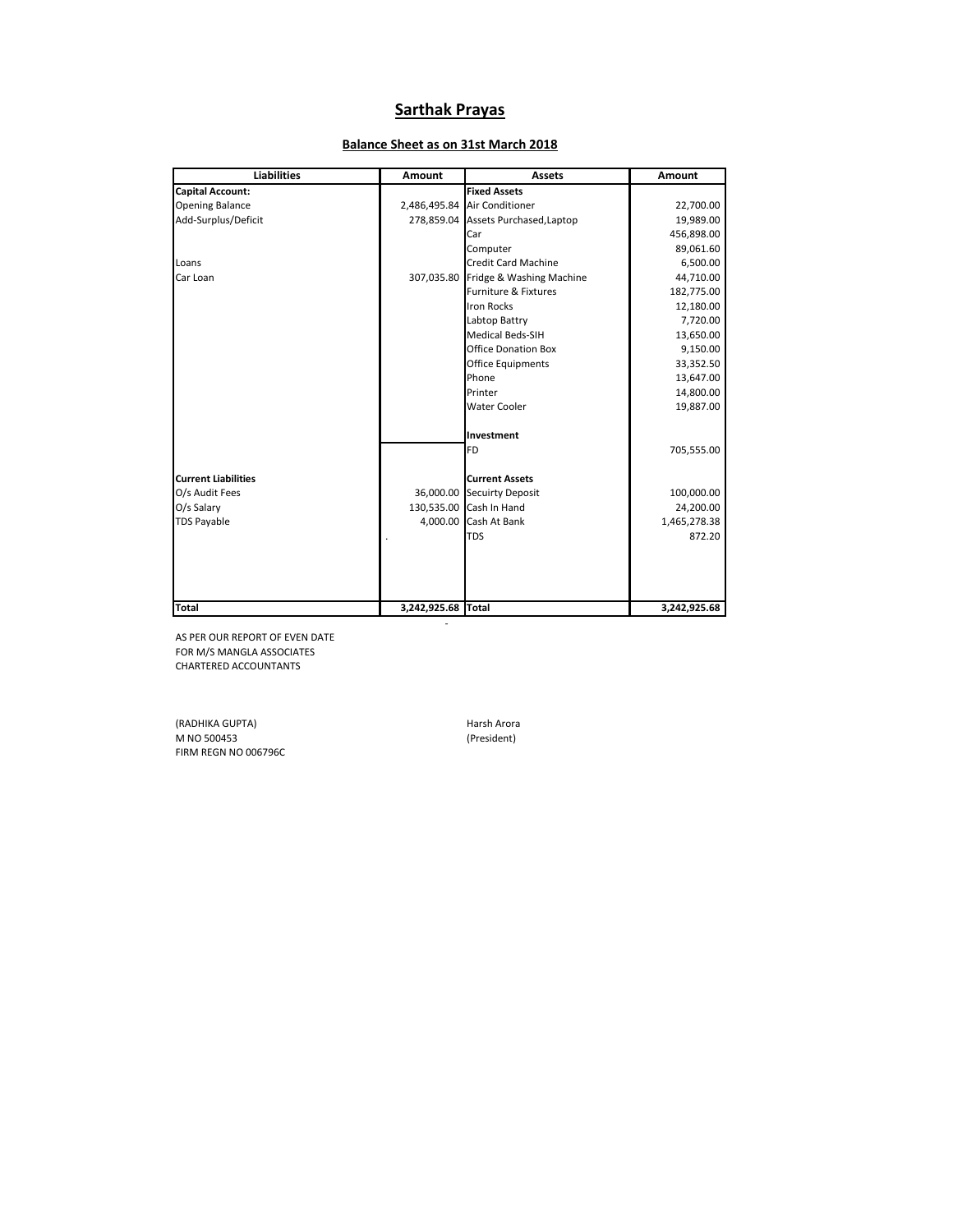## **Sarthak Prayas**

# **Liabilities Amount Amount Assets Amount Balance Sheet as on 31st March 2018**

| <b>Capital Account:</b>    |                    | <b>Fixed Assets</b>                 |              |
|----------------------------|--------------------|-------------------------------------|--------------|
| <b>Opening Balance</b>     |                    | 2,486,495.84 Air Conditioner        | 22,700.00    |
| Add-Surplus/Deficit        |                    | 278,859.04 Assets Purchased, Laptop | 19,989.00    |
|                            |                    | Car                                 | 456,898.00   |
|                            |                    | Computer                            | 89,061.60    |
| Loans                      |                    | <b>Credit Card Machine</b>          | 6,500.00     |
| Car Loan                   |                    | 307,035.80 Fridge & Washing Machine | 44,710.00    |
|                            |                    | Furniture & Fixtures                | 182,775.00   |
|                            |                    | <b>Iron Rocks</b>                   | 12,180.00    |
|                            |                    | Labtop Battry                       | 7,720.00     |
|                            |                    | <b>Medical Beds-SIH</b>             | 13,650.00    |
|                            |                    | <b>Office Donation Box</b>          | 9,150.00     |
|                            |                    | <b>Office Equipments</b>            | 33,352.50    |
|                            |                    | Phone                               | 13,647.00    |
|                            |                    | Printer                             | 14,800.00    |
|                            |                    | <b>Water Cooler</b>                 | 19,887.00    |
|                            |                    | Investment                          |              |
|                            |                    | <b>FD</b>                           | 705,555.00   |
| <b>Current Liabilities</b> |                    | <b>Current Assets</b>               |              |
| O/s Audit Fees             |                    | 36,000.00 Secuirty Deposit          | 100,000.00   |
| O/s Salary                 | 130,535.00         | Cash In Hand                        | 24,200.00    |
| <b>TDS Payable</b>         | 4,000.00           | Cash At Bank                        | 1,465,278.38 |
|                            |                    | <b>TDS</b>                          | 872.20       |
|                            |                    |                                     |              |
|                            |                    |                                     |              |
|                            |                    |                                     |              |
| <b>Total</b>               | 3,242,925.68 Total |                                     | 3,242,925.68 |

- 100 minutes

AS PER OUR REPORT OF EVEN DATE FOR M/S MANGLA ASSOCIATES CHARTERED ACCOUNTANTS

(RADHIKA GUPTA) (RADHIKA GUPTA)<br>M NO 500453 (President) (President) M NO 500453 FIRM REGN NO 006796C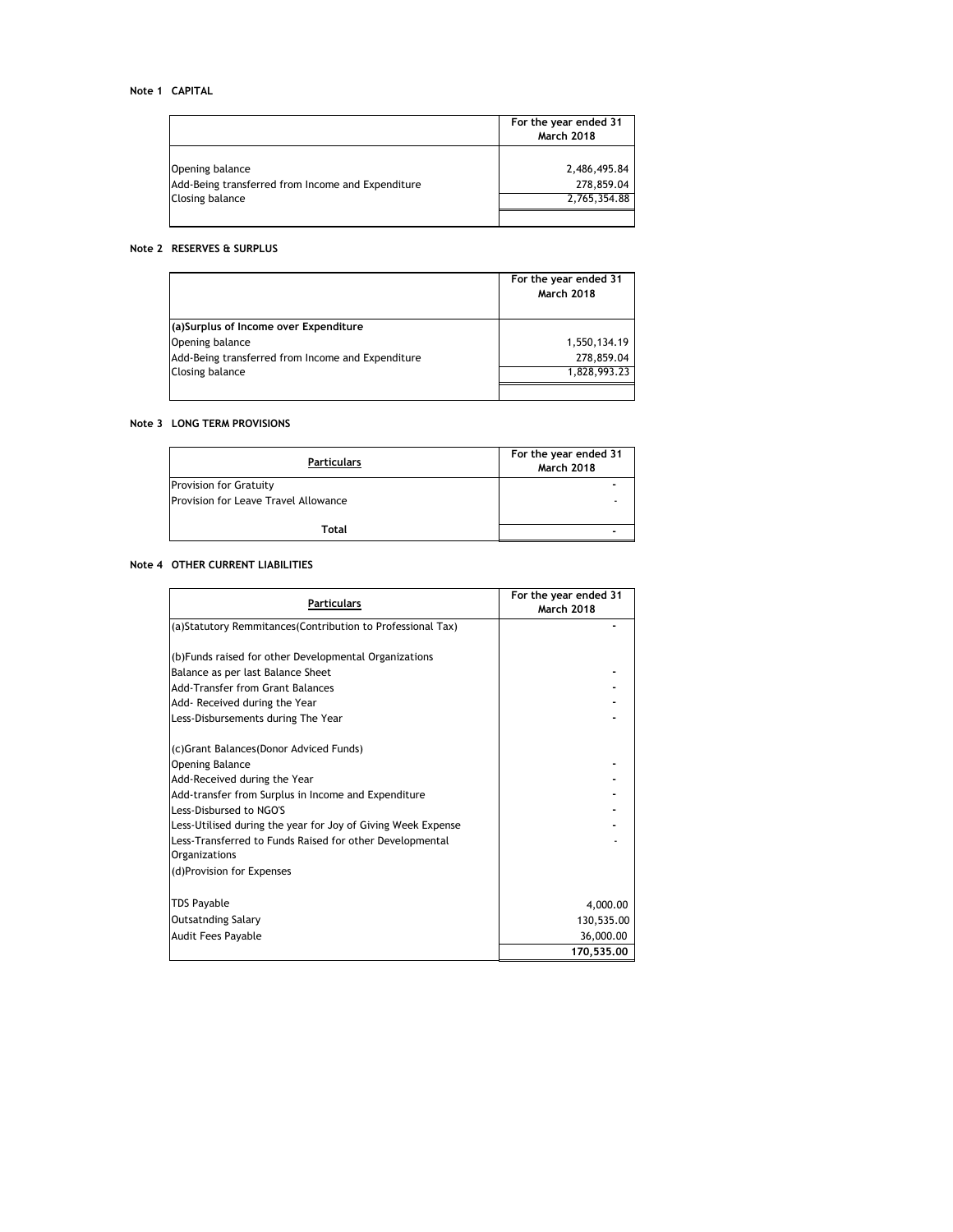|                                                                                         | For the year ended 31<br><b>March 2018</b> |
|-----------------------------------------------------------------------------------------|--------------------------------------------|
| Opening balance<br>Add-Being transferred from Income and Expenditure<br>Closing balance | 2,486,495.84<br>278,859.04<br>2,765,354.88 |
|                                                                                         |                                            |

#### **Note 2 RESERVES & SURPLUS**

|                                                   | For the year ended 31<br><b>March 2018</b> |
|---------------------------------------------------|--------------------------------------------|
| (a)Surplus of Income over Expenditure             |                                            |
| Opening balance                                   | 1,550,134.19                               |
| Add-Being transferred from Income and Expenditure | 278,859.04                                 |
| Closing balance                                   | 1,828,993.23                               |
|                                                   |                                            |

#### **Note 3 LONG TERM PROVISIONS**

| <b>Particulars</b>                   | For the year ended 31<br><b>March 2018</b> |
|--------------------------------------|--------------------------------------------|
| <b>Provision for Gratuity</b>        |                                            |
| Provision for Leave Travel Allowance |                                            |
| Total                                |                                            |

#### **Note 4 OTHER CURRENT LIABILITIES**

|                                                              | For the year ended 31 |
|--------------------------------------------------------------|-----------------------|
| <b>Particulars</b>                                           | <b>March 2018</b>     |
| (a)Statutory Remmitances (Contribution to Professional Tax)  |                       |
|                                                              |                       |
| (b) Funds raised for other Developmental Organizations       |                       |
| Balance as per last Balance Sheet                            |                       |
| Add-Transfer from Grant Balances                             |                       |
| Add- Received during the Year                                |                       |
| Less-Disbursements during The Year                           |                       |
| (c)Grant Balances(Donor Adviced Funds)                       |                       |
| <b>Opening Balance</b>                                       |                       |
| Add-Received during the Year                                 |                       |
| Add-transfer from Surplus in Income and Expenditure          |                       |
| Less-Disbursed to NGO'S                                      |                       |
| Less-Utilised during the year for Joy of Giving Week Expense |                       |
| Less-Transferred to Funds Raised for other Developmental     |                       |
| Organizations                                                |                       |
| (d)Provision for Expenses                                    |                       |
| TDS Payable                                                  | 4,000.00              |
| <b>Outsatnding Salary</b>                                    | 130,535.00            |
| Audit Fees Payable                                           | 36,000.00             |
|                                                              | 170.535.00            |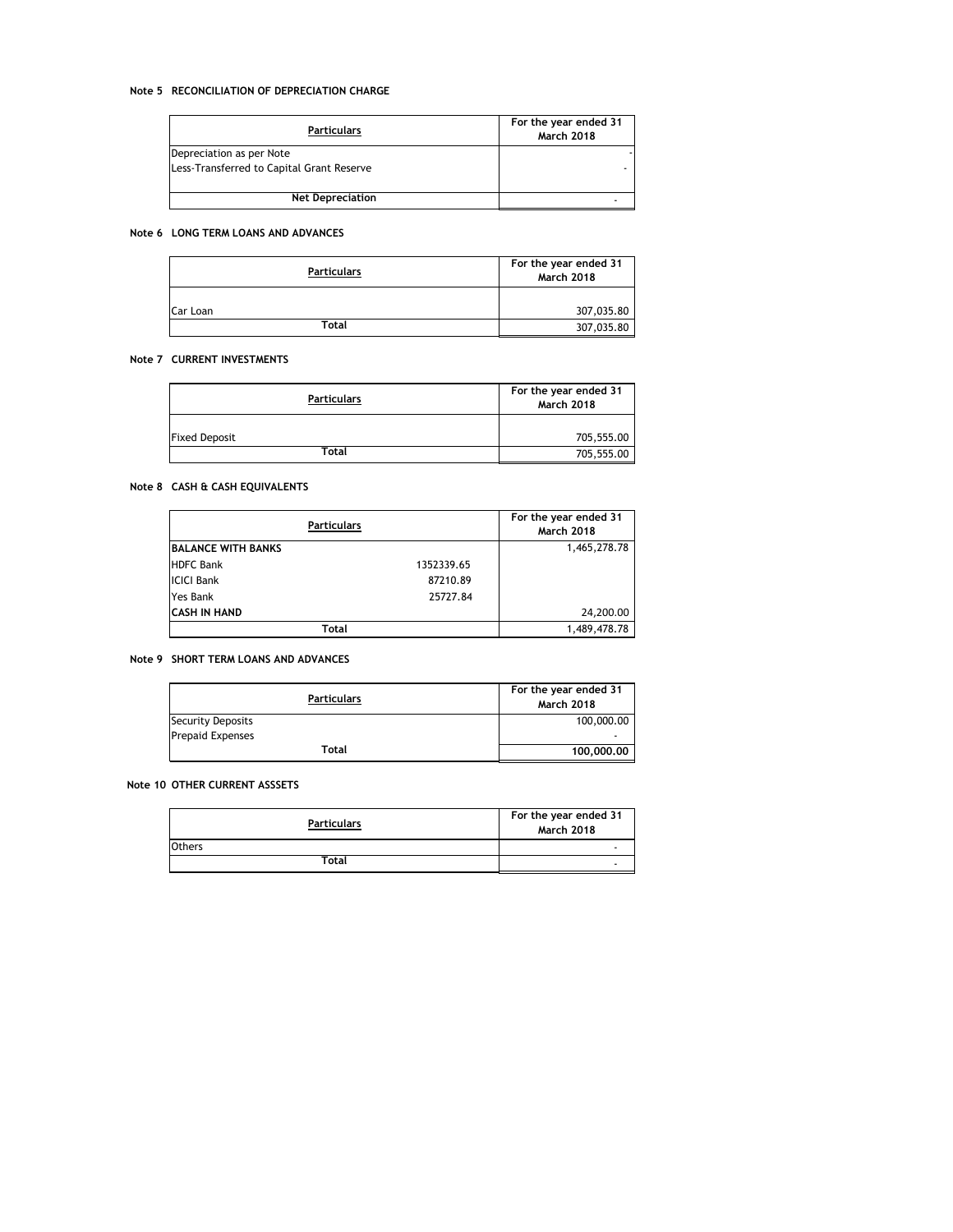#### **Note 5 RECONCILIATION OF DEPRECIATION CHARGE**

| <b>Particulars</b>                        | For the year ended 31<br><b>March 2018</b> |
|-------------------------------------------|--------------------------------------------|
| Depreciation as per Note                  |                                            |
| Less-Transferred to Capital Grant Reserve |                                            |
| <b>Net Depreciation</b>                   |                                            |

#### **Note 6 LONG TERM LOANS AND ADVANCES**

| <b>Particulars</b> | For the year ended 31<br><b>March 2018</b> |
|--------------------|--------------------------------------------|
| Car Loan           | 307,035.80                                 |
| Total              | 307,035.80                                 |

#### **Note 7 CURRENT INVESTMENTS**

| Particulars          | For the year ended 31<br><b>March 2018</b> |
|----------------------|--------------------------------------------|
| <b>Fixed Deposit</b> | 705,555.00                                 |
| Total                | 705,555.00                                 |

#### **Note 8 CASH & CASH EQUIVALENTS**

|                           | <b>Particulars</b> | For the year ended 31<br><b>March 2018</b> |
|---------------------------|--------------------|--------------------------------------------|
| <b>BALANCE WITH BANKS</b> |                    | 1,465,278.78                               |
| <b>HDFC Bank</b>          | 1352339.65         |                                            |
| <b>ICICI Bank</b>         | 87210.89           |                                            |
| Yes Bank                  | 25727.84           |                                            |
| ICASH IN HAND             |                    | 24,200.00                                  |
|                           | Total              | 1,489,478.78                               |

#### **Note 9 SHORT TERM LOANS AND ADVANCES**

| <b>Particulars</b>      | For the year ended 31<br><b>March 2018</b> |
|-------------------------|--------------------------------------------|
| Security Deposits       | 100,000.00                                 |
| <b>Prepaid Expenses</b> | ۰                                          |
| Total                   | 100,000,00                                 |

#### **Note 10 OTHER CURRENT ASSSETS**

| <b>Particulars</b> | For the year ended 31<br><b>March 2018</b> |
|--------------------|--------------------------------------------|
| Others             |                                            |
| Total              |                                            |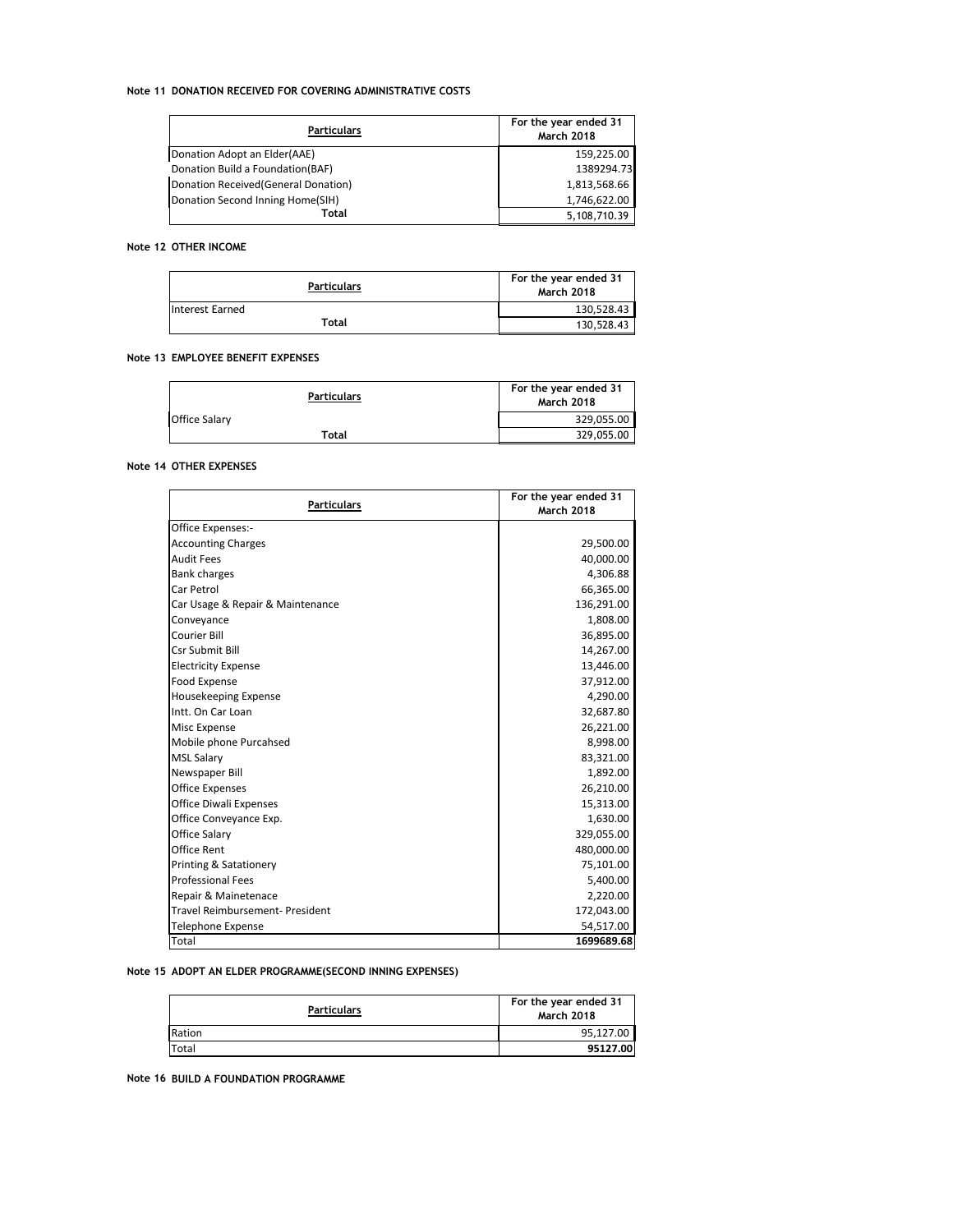#### **Note 11 DONATION RECEIVED FOR COVERING ADMINISTRATIVE COSTS**

| <b>Particulars</b>                   | For the year ended 31<br><b>March 2018</b> |
|--------------------------------------|--------------------------------------------|
| Donation Adopt an Elder(AAE)         | 159.225.00                                 |
| Donation Build a Foundation(BAF)     | 1389294.73                                 |
| Donation Received (General Donation) | 1,813,568.66                               |
| Donation Second Inning Home(SIH)     | 1,746,622.00                               |
| Total                                | 5,108,710.39                               |

#### **Note 12 OTHER INCOME**

| <b>Particulars</b> | For the year ended 31<br><b>March 2018</b> |
|--------------------|--------------------------------------------|
| Interest Earned    | 130,528.43                                 |
| Total              | 130,528.43                                 |

#### **Note 13 EMPLOYEE BENEFIT EXPENSES**

|               | Particulars | For the year ended 31<br><b>March 2018</b> |
|---------------|-------------|--------------------------------------------|
| Office Salary |             | 329,055.00                                 |
|               | Total       | 329,055.00                                 |

#### **Note 14 OTHER EXPENSES**

| <b>Particulars</b>                     | For the year ended 31 |
|----------------------------------------|-----------------------|
|                                        | <b>March 2018</b>     |
| Office Expenses:-                      |                       |
| <b>Accounting Charges</b>              | 29,500.00             |
| <b>Audit Fees</b>                      | 40,000.00             |
| <b>Bank charges</b>                    | 4,306.88              |
| Car Petrol                             | 66,365.00             |
| Car Usage & Repair & Maintenance       | 136,291.00            |
| Conveyance                             | 1,808.00              |
| Courier Bill                           | 36,895.00             |
| Csr Submit Bill                        | 14,267.00             |
| <b>Electricity Expense</b>             | 13,446.00             |
| Food Expense                           | 37,912.00             |
| Housekeeping Expense                   | 4,290.00              |
| Intt. On Car Loan                      | 32,687.80             |
| <b>Misc Expense</b>                    | 26,221.00             |
| Mobile phone Purcahsed                 | 8,998.00              |
| <b>MSL Salary</b>                      | 83,321.00             |
| Newspaper Bill                         | 1,892.00              |
| <b>Office Expenses</b>                 | 26,210.00             |
| <b>Office Diwali Expenses</b>          | 15,313.00             |
| Office Conveyance Exp.                 | 1,630.00              |
| Office Salary                          | 329,055.00            |
| <b>Office Rent</b>                     | 480,000.00            |
| Printing & Satationery                 | 75,101.00             |
| <b>Professional Fees</b>               | 5,400.00              |
| Repair & Mainetenace                   | 2,220.00              |
| <b>Travel Reimbursement- President</b> | 172,043.00            |
| <b>Telephone Expense</b>               | 54,517.00             |
| Total                                  | 1699689.68            |

#### **Note 15 ADOPT AN ELDER PROGRAMME(SECOND INNING EXPENSES)**

| <b>Particulars</b> | For the year ended 31<br><b>March 2018</b> |
|--------------------|--------------------------------------------|
| Ration             | 95.127.00                                  |
| Total              | 95127.00                                   |

**Note 16 BUILD A FOUNDATION PROGRAMME**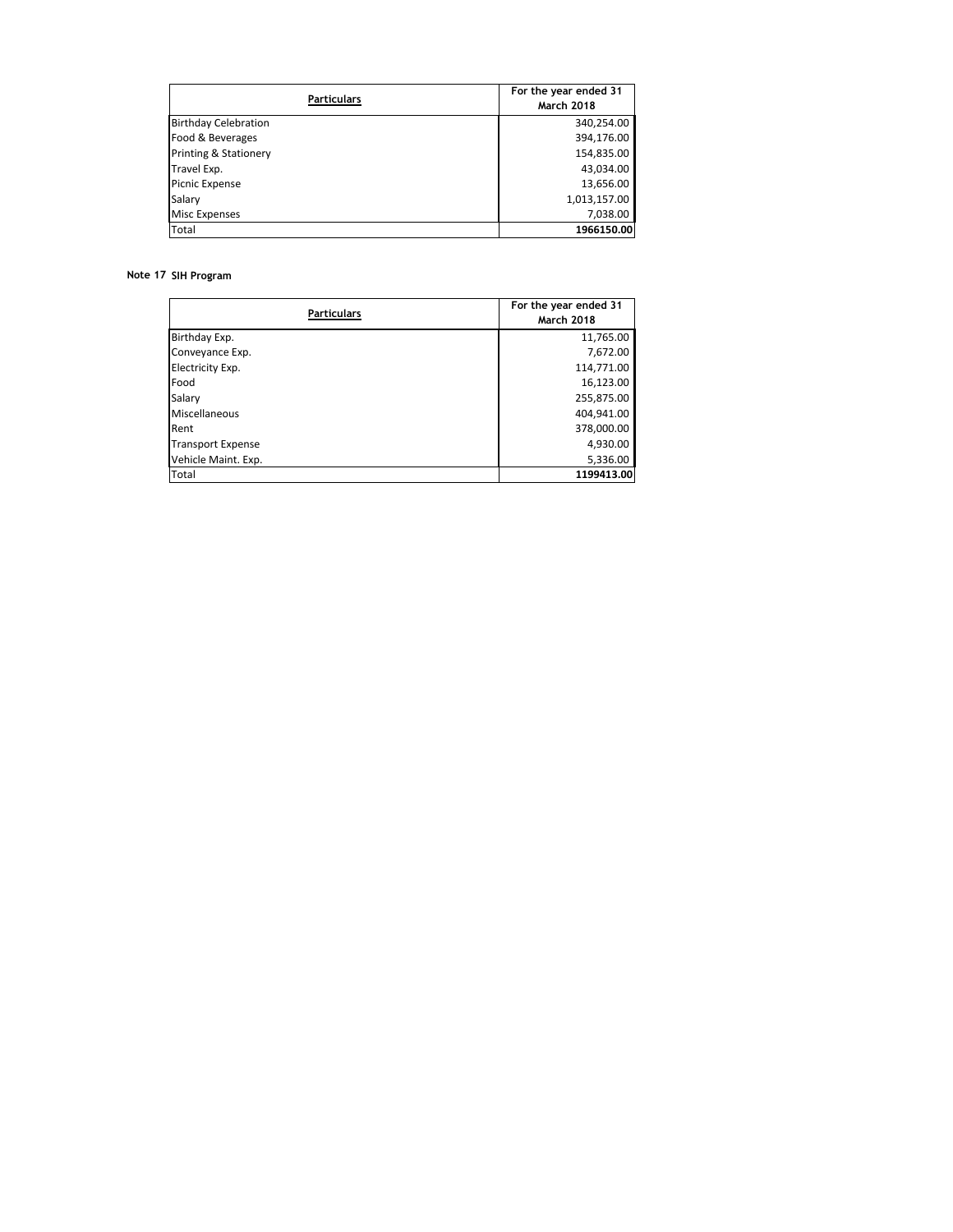| <b>Particulars</b>               | For the year ended 31<br><b>March 2018</b> |
|----------------------------------|--------------------------------------------|
| <b>Birthday Celebration</b>      | 340,254.00                                 |
| Food & Beverages                 | 394,176.00                                 |
| <b>Printing &amp; Stationery</b> | 154,835.00                                 |
| Travel Exp.                      | 43,034.00                                  |
| <b>Picnic Expense</b>            | 13,656.00                                  |
| Salary                           | 1,013,157.00                               |
| <b>Misc Expenses</b>             | 7,038.00                                   |
| Total                            | 1966150.00                                 |

#### **Note 17 SIH Program**

| <b>Particulars</b>       | For the year ended 31<br><b>March 2018</b> |
|--------------------------|--------------------------------------------|
| Birthday Exp.            | 11,765.00                                  |
| Conveyance Exp.          | 7,672.00                                   |
| Electricity Exp.         | 114,771.00                                 |
| Food                     | 16,123.00                                  |
| Salary                   | 255,875.00                                 |
| Miscellaneous            | 404,941.00                                 |
| Rent                     | 378,000.00                                 |
| <b>Transport Expense</b> | 4,930.00                                   |
| Vehicle Maint. Exp.      | 5,336.00                                   |
| Total                    | 1199413.00                                 |